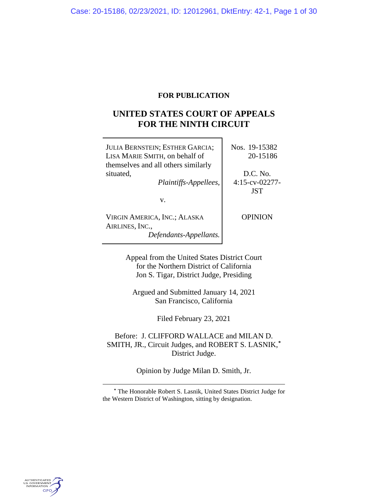# **FOR PUBLICATION**

# **UNITED STATES COURT OF APPEALS FOR THE NINTH CIRCUIT**

| <b>JULIA BERNSTEIN; ESTHER GARCIA;</b><br>LISA MARIE SMITH, on behalf of<br>themselves and all others similarly                    | Nos. 19-15382<br>20-15186 |
|------------------------------------------------------------------------------------------------------------------------------------|---------------------------|
| situated,                                                                                                                          | D.C. No.                  |
| Plaintiffs-Appellees,                                                                                                              | $4:15$ -cv-02277-         |
|                                                                                                                                    | <b>JST</b>                |
| v.                                                                                                                                 |                           |
| VIRGIN AMERICA, INC.; ALASKA<br>AIRLINES, INC.,<br>Defendants-Appellants.                                                          | <b>OPINION</b>            |
| Appeal from the United States District Court<br>for the Northern District of California<br>Jon S. Tigar, District Judge, Presiding |                           |

Argued and Submitted January 14, 2021 San Francisco, California

Filed February 23, 2021

Before: J. CLIFFORD WALLACE and MILAN D. SMITH, JR., Circuit Judges, and ROBERT S. LASNIK,**[\\*](#page-0-0)** District Judge.

Opinion by Judge Milan D. Smith, Jr.

<span id="page-0-0"></span>

**<sup>\*</sup>** The Honorable Robert S. Lasnik, United States District Judge for the Western District of Washington, sitting by designation.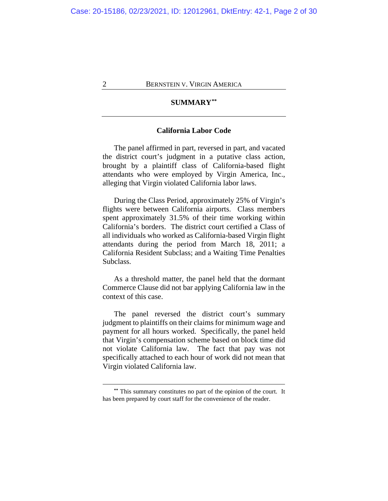# **SUMMARY[\\*\\*](#page-1-0)**

## **California Labor Code**

The panel affirmed in part, reversed in part, and vacated the district court's judgment in a putative class action, brought by a plaintiff class of California-based flight attendants who were employed by Virgin America, Inc., alleging that Virgin violated California labor laws.

During the Class Period, approximately 25% of Virgin's flights were between California airports. Class members spent approximately 31.5% of their time working within California's borders. The district court certified a Class of all individuals who worked as California-based Virgin flight attendants during the period from March 18, 2011; a California Resident Subclass; and a Waiting Time Penalties Subclass.

As a threshold matter, the panel held that the dormant Commerce Clause did not bar applying California law in the context of this case.

The panel reversed the district court's summary judgment to plaintiffs on their claims for minimum wage and payment for all hours worked. Specifically, the panel held that Virgin's compensation scheme based on block time did not violate California law. The fact that pay was not specifically attached to each hour of work did not mean that Virgin violated California law.

<span id="page-1-0"></span>**<sup>\*\*</sup>** This summary constitutes no part of the opinion of the court. It has been prepared by court staff for the convenience of the reader.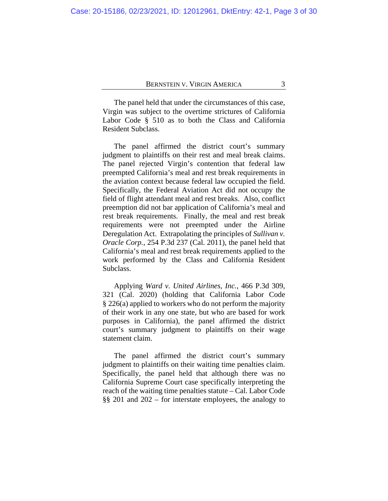The panel held that under the circumstances of this case, Virgin was subject to the overtime strictures of California Labor Code § 510 as to both the Class and California Resident Subclass.

The panel affirmed the district court's summary judgment to plaintiffs on their rest and meal break claims. The panel rejected Virgin's contention that federal law preempted California's meal and rest break requirements in the aviation context because federal law occupied the field. Specifically, the Federal Aviation Act did not occupy the field of flight attendant meal and rest breaks. Also, conflict preemption did not bar application of California's meal and rest break requirements. Finally, the meal and rest break requirements were not preempted under the Airline Deregulation Act. Extrapolating the principles of *Sullivan v. Oracle Corp.*, 254 P.3d 237 (Cal. 2011), the panel held that California's meal and rest break requirements applied to the work performed by the Class and California Resident Subclass.

Applying *Ward v. United Airlines, Inc.*, 466 P.3d 309, 321 (Cal. 2020) (holding that California Labor Code § 226(a) applied to workers who do not perform the majority of their work in any one state, but who are based for work purposes in California), the panel affirmed the district court's summary judgment to plaintiffs on their wage statement claim.

The panel affirmed the district court's summary judgment to plaintiffs on their waiting time penalties claim. Specifically, the panel held that although there was no California Supreme Court case specifically interpreting the reach of the waiting time penalties statute – Cal. Labor Code §§ 201 and 202 – for interstate employees, the analogy to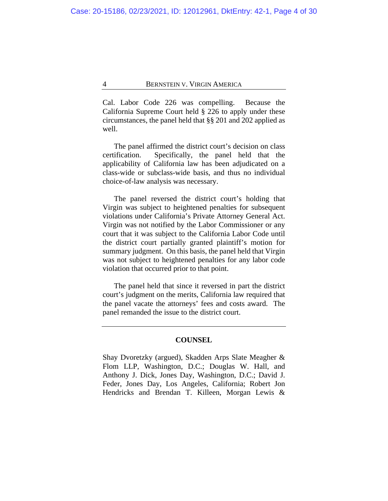Cal. Labor Code 226 was compelling. Because the California Supreme Court held § 226 to apply under these circumstances, the panel held that §§ 201 and 202 applied as well.

The panel affirmed the district court's decision on class certification. Specifically, the panel held that the applicability of California law has been adjudicated on a class-wide or subclass-wide basis, and thus no individual choice-of-law analysis was necessary.

The panel reversed the district court's holding that Virgin was subject to heightened penalties for subsequent violations under California's Private Attorney General Act. Virgin was not notified by the Labor Commissioner or any court that it was subject to the California Labor Code until the district court partially granted plaintiff's motion for summary judgment. On this basis, the panel held that Virgin was not subject to heightened penalties for any labor code violation that occurred prior to that point.

The panel held that since it reversed in part the district court's judgment on the merits, California law required that the panel vacate the attorneys' fees and costs award. The panel remanded the issue to the district court.

#### **COUNSEL**

Shay Dvoretzky (argued), Skadden Arps Slate Meagher & Flom LLP, Washington, D.C.; Douglas W. Hall, and Anthony J. Dick, Jones Day, Washington, D.C.; David J. Feder, Jones Day, Los Angeles, California; Robert Jon Hendricks and Brendan T. Killeen, Morgan Lewis &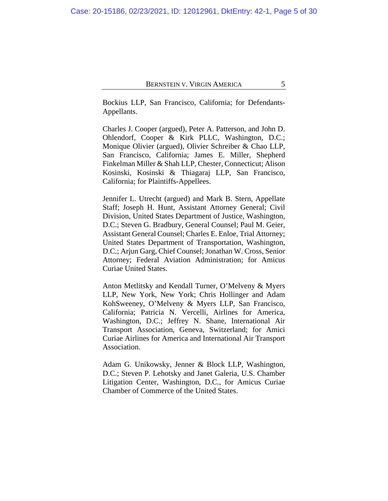Bockius LLP, San Francisco, California; for Defendants-Appellants.

Charles J. Cooper (argued), Peter A. Patterson, and John D. Ohlendorf, Cooper & Kirk PLLC, Washington, D.C.; Monique Olivier (argued), Olivier Schreiber & Chao LLP, San Francisco, California; James E. Miller, Shepherd Finkelman Miller & Shah LLP, Chester, Connecticut; Alison Kosinski, Kosinski & Thiagaraj LLP, San Francisco, California; for Plaintiffs-Appellees.

Jennifer L. Utrecht (argued) and Mark B. Stern, Appellate Staff; Joseph H. Hunt, Assistant Attorney General; Civil Division, United States Department of Justice, Washington, D.C.; Steven G. Bradbury, General Counsel; Paul M. Geier, Assistant General Counsel; Charles E. Enloe, Trial Attorney; United States Department of Transportation, Washington, D.C.; Arjun Garg, Chief Counsel; Jonathan W. Cross, Senior Attorney; Federal Aviation Administration; for Amicus Curiae United States.

Anton Metlitsky and Kendall Turner, O'Melveny & Myers LLP, New York, New York; Chris Hollinger and Adam KohSweeney, O'Melveny & Myers LLP, San Francisco, California; Patricia N. Vercelli, Airlines for America, Washington, D.C.; Jeffrey N. Shane, International Air Transport Association, Geneva, Switzerland; for Amici Curiae Airlines for America and International Air Transport Association.

Adam G. Unikowsky, Jenner & Block LLP, Washington, D.C.; Steven P. Lehotsky and Janet Galeria, U.S. Chamber Litigation Center, Washington, D.C., for Amicus Curiae Chamber of Commerce of the United States.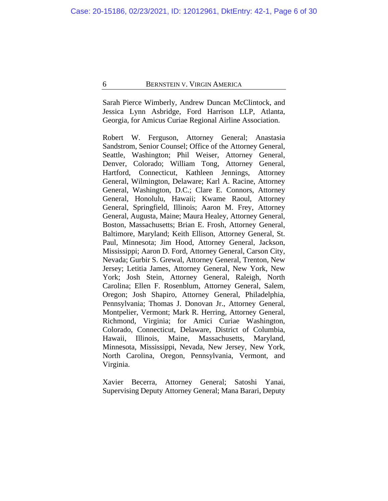Sarah Pierce Wimberly, Andrew Duncan McClintock, and Jessica Lynn Asbridge, Ford Harrison LLP, Atlanta, Georgia, for Amicus Curiae Regional Airline Association.

Robert W. Ferguson, Attorney General; Anastasia Sandstrom, Senior Counsel; Office of the Attorney General, Seattle, Washington; Phil Weiser, Attorney General, Denver, Colorado; William Tong, Attorney General, Hartford, Connecticut, Kathleen Jennings, Attorney General, Wilmington, Delaware; Karl A. Racine, Attorney General, Washington, D.C.; Clare E. Connors, Attorney General, Honolulu, Hawaii; Kwame Raoul, Attorney General, Springfield, Illinois; Aaron M. Frey, Attorney General, Augusta, Maine; Maura Healey, Attorney General, Boston, Massachusetts; Brian E. Frosh, Attorney General, Baltimore, Maryland; Keith Ellison, Attorney General, St. Paul, Minnesota; Jim Hood, Attorney General, Jackson, Mississippi; Aaron D. Ford, Attorney General, Carson City, Nevada; Gurbir S. Grewal, Attorney General, Trenton, New Jersey; Letitia James, Attorney General, New York, New York; Josh Stein, Attorney General, Raleigh, North Carolina; Ellen F. Rosenblum, Attorney General, Salem, Oregon; Josh Shapiro, Attorney General, Philadelphia, Pennsylvania; Thomas J. Donovan Jr., Attorney General, Montpelier, Vermont; Mark R. Herring, Attorney General, Richmond, Virginia; for Amici Curiae Washington, Colorado, Connecticut, Delaware, District of Columbia, Hawaii, Illinois, Maine, Massachusetts, Maryland, Minnesota, Mississippi, Nevada, New Jersey, New York, North Carolina, Oregon, Pennsylvania, Vermont, and Virginia.

Xavier Becerra, Attorney General; Satoshi Yanai, Supervising Deputy Attorney General; Mana Barari, Deputy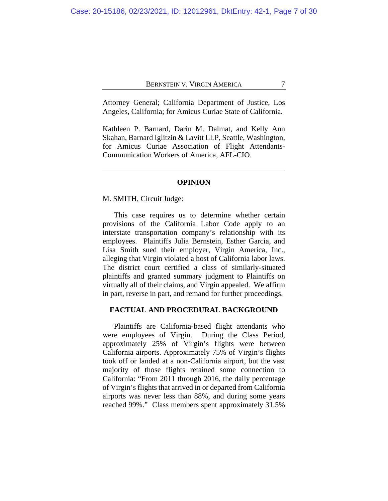Attorney General; California Department of Justice, Los Angeles, California; for Amicus Curiae State of California.

Kathleen P. Barnard, Darin M. Dalmat, and Kelly Ann Skahan, Barnard Iglitzin & Lavitt LLP, Seattle, Washington, for Amicus Curiae Association of Flight Attendants-Communication Workers of America, AFL-CIO.

## **OPINION**

#### M. SMITH, Circuit Judge:

This case requires us to determine whether certain provisions of the California Labor Code apply to an interstate transportation company's relationship with its employees. Plaintiffs Julia Bernstein, Esther Garcia, and Lisa Smith sued their employer, Virgin America, Inc., alleging that Virgin violated a host of California labor laws. The district court certified a class of similarly-situated plaintiffs and granted summary judgment to Plaintiffs on virtually all of their claims, and Virgin appealed. We affirm in part, reverse in part, and remand for further proceedings.

## **FACTUAL AND PROCEDURAL BACKGROUND**

Plaintiffs are California-based flight attendants who were employees of Virgin. During the Class Period, approximately 25% of Virgin's flights were between California airports. Approximately 75% of Virgin's flights took off or landed at a non-California airport, but the vast majority of those flights retained some connection to California: "From 2011 through 2016, the daily percentage of Virgin's flights that arrived in or departed from California airports was never less than 88%, and during some years reached 99%." Class members spent approximately 31.5%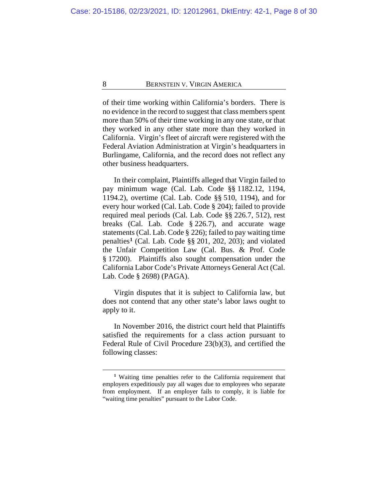of their time working within California's borders. There is no evidence in the record to suggest that class members spent more than 50% of their time working in any one state, or that they worked in any other state more than they worked in California. Virgin's fleet of aircraft were registered with the Federal Aviation Administration at Virgin's headquarters in Burlingame, California, and the record does not reflect any other business headquarters.

In their complaint, Plaintiffs alleged that Virgin failed to pay minimum wage (Cal. Lab. Code §§ 1182.12, 1194, 1194.2), overtime (Cal. Lab. Code §§ 510, 1194), and for every hour worked (Cal. Lab. Code § 204); failed to provide required meal periods (Cal. Lab. Code §§ 226.7, 512), rest breaks (Cal. Lab. Code § 226.7), and accurate wage statements (Cal. Lab. Code § 226); failed to pay waiting time penalties**[1](#page-7-0)** (Cal. Lab. Code §§ 201, 202, 203); and violated the Unfair Competition Law (Cal. Bus. & Prof. Code § 17200). Plaintiffs also sought compensation under the California Labor Code's Private Attorneys General Act (Cal. Lab. Code § 2698) (PAGA).

Virgin disputes that it is subject to California law, but does not contend that any other state's labor laws ought to apply to it.

In November 2016, the district court held that Plaintiffs satisfied the requirements for a class action pursuant to Federal Rule of Civil Procedure 23(b)(3), and certified the following classes:

<span id="page-7-0"></span>**<sup>1</sup>** Waiting time penalties refer to the California requirement that employers expeditiously pay all wages due to employees who separate from employment. If an employer fails to comply, it is liable for "waiting time penalties" pursuant to the Labor Code.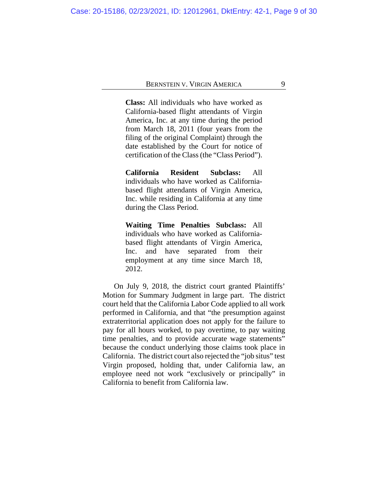**Class:** All individuals who have worked as California-based flight attendants of Virgin America, Inc. at any time during the period from March 18, 2011 (four years from the filing of the original Complaint) through the date established by the Court for notice of certification of the Class (the "Class Period").

**California Resident Subclass:** All individuals who have worked as Californiabased flight attendants of Virgin America, Inc. while residing in California at any time during the Class Period.

**Waiting Time Penalties Subclass:** All individuals who have worked as Californiabased flight attendants of Virgin America, Inc. and have separated from their employment at any time since March 18, 2012.

On July 9, 2018, the district court granted Plaintiffs' Motion for Summary Judgment in large part. The district court held that the California Labor Code applied to all work performed in California, and that "the presumption against extraterritorial application does not apply for the failure to pay for all hours worked, to pay overtime, to pay waiting time penalties, and to provide accurate wage statements" because the conduct underlying those claims took place in California. The district court also rejected the "job situs" test Virgin proposed, holding that, under California law, an employee need not work "exclusively or principally" in California to benefit from California law.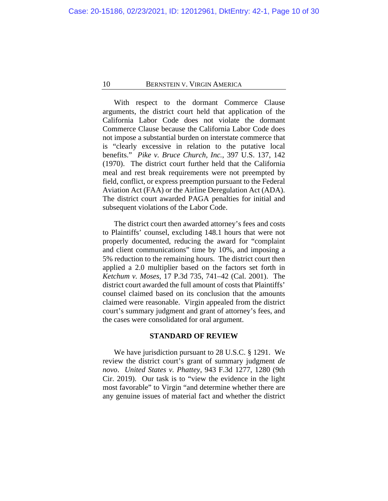With respect to the dormant Commerce Clause arguments, the district court held that application of the California Labor Code does not violate the dormant Commerce Clause because the California Labor Code does not impose a substantial burden on interstate commerce that is "clearly excessive in relation to the putative local benefits." *Pike v. Bruce Church, Inc.*, 397 U.S. 137, 142 (1970). The district court further held that the California meal and rest break requirements were not preempted by field, conflict, or express preemption pursuant to the Federal Aviation Act (FAA) or the Airline Deregulation Act (ADA). The district court awarded PAGA penalties for initial and subsequent violations of the Labor Code.

The district court then awarded attorney's fees and costs to Plaintiffs' counsel, excluding 148.1 hours that were not properly documented, reducing the award for "complaint and client communications" time by 10%, and imposing a 5% reduction to the remaining hours. The district court then applied a 2.0 multiplier based on the factors set forth in *Ketchum v. Moses*, 17 P.3d 735, 741–42 (Cal. 2001). The district court awarded the full amount of costs that Plaintiffs' counsel claimed based on its conclusion that the amounts claimed were reasonable. Virgin appealed from the district court's summary judgment and grant of attorney's fees, and the cases were consolidated for oral argument.

#### **STANDARD OF REVIEW**

We have jurisdiction pursuant to 28 U.S.C. § 1291. We review the district court's grant of summary judgment *de novo*. *United States v. Phattey*, 943 F.3d 1277, 1280 (9th Cir. 2019). Our task is to "view the evidence in the light most favorable" to Virgin "and determine whether there are any genuine issues of material fact and whether the district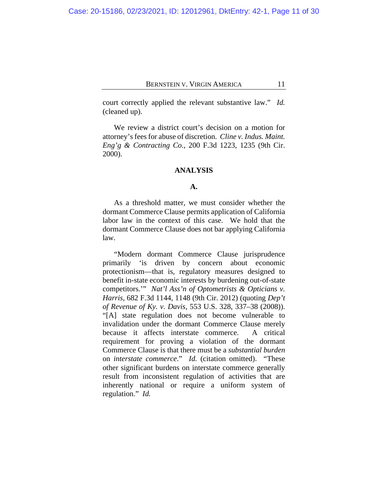court correctly applied the relevant substantive law." *Id.* (cleaned up).

We review a district court's decision on a motion for attorney's fees for abuse of discretion. *Cline v. Indus. Maint. Eng'g & Contracting Co.*, 200 F.3d 1223, 1235 (9th Cir. 2000).

## **ANALYSIS**

#### **A.**

As a threshold matter, we must consider whether the dormant Commerce Clause permits application of California labor law in the context of this case. We hold that the dormant Commerce Clause does not bar applying California law.

"Modern dormant Commerce Clause jurisprudence primarily 'is driven by concern about economic protectionism—that is, regulatory measures designed to benefit in-state economic interests by burdening out-of-state competitors.'" *Nat'l Ass'n of Optometrists & Opticians v. Harris*, 682 F.3d 1144, 1148 (9th Cir. 2012) (quoting *Dep't of Revenue of Ky. v. Davis*, 553 U.S. 328, 337–38 (2008)). "[A] state regulation does not become vulnerable to invalidation under the dormant Commerce Clause merely because it affects interstate commerce. A critical requirement for proving a violation of the dormant Commerce Clause is that there must be a *substantial burden* on *interstate commerce*." *Id.* (citation omitted). "These other significant burdens on interstate commerce generally result from inconsistent regulation of activities that are inherently national or require a uniform system of regulation." *Id.*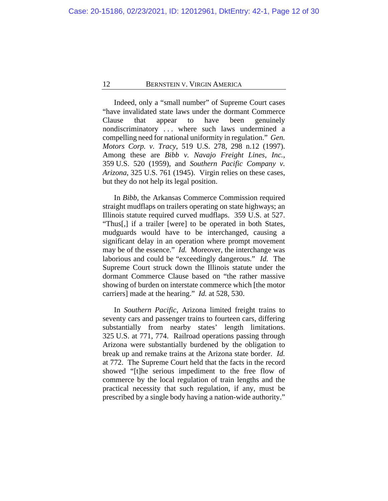Indeed, only a "small number" of Supreme Court cases "have invalidated state laws under the dormant Commerce Clause that appear to have been genuinely nondiscriminatory . . . where such laws undermined a compelling need for national uniformity in regulation." *Gen. Motors Corp. v. Tracy*, 519 U.S. 278, 298 n.12 (1997). Among these are *Bibb v. Navajo Freight Lines, Inc.*, 359 U.S. 520 (1959), and *Southern Pacific Company v. Arizona*, 325 U.S. 761 (1945). Virgin relies on these cases, but they do not help its legal position.

In *Bibb*, the Arkansas Commerce Commission required straight mudflaps on trailers operating on state highways; an Illinois statute required curved mudflaps. 359 U.S. at 527. "Thus[,] if a trailer [were] to be operated in both States, mudguards would have to be interchanged, causing a significant delay in an operation where prompt movement may be of the essence." *Id.* Moreover, the interchange was laborious and could be "exceedingly dangerous." *Id.* The Supreme Court struck down the Illinois statute under the dormant Commerce Clause based on "the rather massive showing of burden on interstate commerce which [the motor carriers] made at the hearing." *Id.* at 528, 530.

In *Southern Pacific*, Arizona limited freight trains to seventy cars and passenger trains to fourteen cars, differing substantially from nearby states' length limitations. 325 U.S. at 771, 774. Railroad operations passing through Arizona were substantially burdened by the obligation to break up and remake trains at the Arizona state border. *Id.* at 772. The Supreme Court held that the facts in the record showed "[t]he serious impediment to the free flow of commerce by the local regulation of train lengths and the practical necessity that such regulation, if any, must be prescribed by a single body having a nation-wide authority."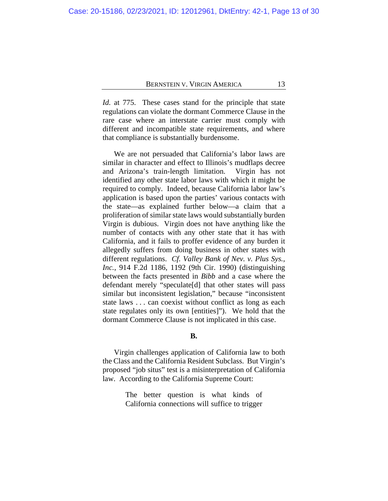*Id.* at 775. These cases stand for the principle that state regulations can violate the dormant Commerce Clause in the rare case where an interstate carrier must comply with different and incompatible state requirements, and where that compliance is substantially burdensome.

We are not persuaded that California's labor laws are similar in character and effect to Illinois's mudflaps decree and Arizona's train-length limitation. Virgin has not identified any other state labor laws with which it might be required to comply. Indeed, because California labor law's application is based upon the parties' various contacts with the state—as explained further below—a claim that a proliferation of similar state laws would substantially burden Virgin is dubious. Virgin does not have anything like the number of contacts with any other state that it has with California, and it fails to proffer evidence of any burden it allegedly suffers from doing business in other states with different regulations. *Cf. Valley Bank of Nev. v. Plus Sys., Inc.*, 914 F.2d 1186, 1192 (9th Cir. 1990) (distinguishing between the facts presented in *Bibb* and a case where the defendant merely "speculate[d] that other states will pass similar but inconsistent legislation," because "inconsistent state laws . . . can coexist without conflict as long as each state regulates only its own [entities]"). We hold that the dormant Commerce Clause is not implicated in this case.

#### **B.**

Virgin challenges application of California law to both the Class and the California Resident Subclass. But Virgin's proposed "job situs" test is a misinterpretation of California law. According to the California Supreme Court:

> The better question is what kinds of California connections will suffice to trigger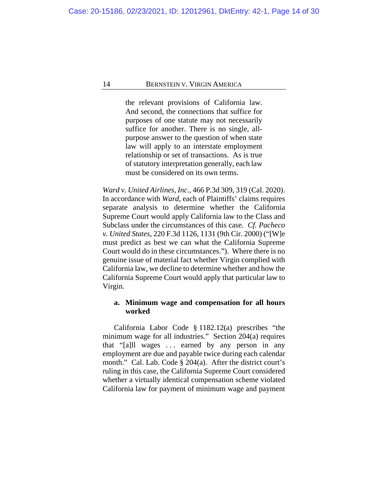the relevant provisions of California law. And second, the connections that suffice for purposes of one statute may not necessarily suffice for another. There is no single, allpurpose answer to the question of when state law will apply to an interstate employment relationship or set of transactions. As is true of statutory interpretation generally, each law must be considered on its own terms.

*Ward v. United Airlines, Inc.*, 466 P.3d 309, 319 (Cal. 2020). In accordance with *Ward*, each of Plaintiffs' claims requires separate analysis to determine whether the California Supreme Court would apply California law to the Class and Subclass under the circumstances of this case. *Cf. Pacheco v. United States*, 220 F.3d 1126, 1131 (9th Cir. 2000) ("[W]e must predict as best we can what the California Supreme Court would do in these circumstances."). Where there is no genuine issue of material fact whether Virgin complied with California law, we decline to determine whether and how the California Supreme Court would apply that particular law to Virgin.

# **a. Minimum wage and compensation for all hours worked**

California Labor Code § 1182.12(a) prescribes "the minimum wage for all industries." Section 204(a) requires that "[a]ll wages . . . earned by any person in any employment are due and payable twice during each calendar month." Cal. Lab. Code § 204(a). After the district court's ruling in this case, the California Supreme Court considered whether a virtually identical compensation scheme violated California law for payment of minimum wage and payment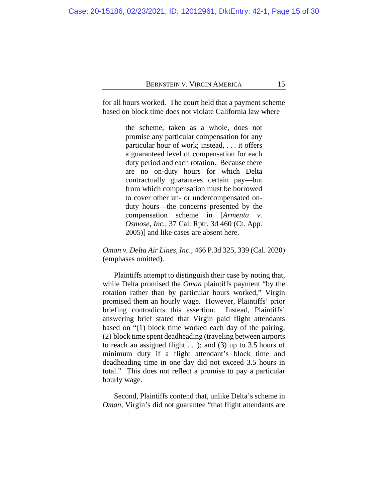for all hours worked. The court held that a payment scheme based on block time does not violate California law where

> the scheme, taken as a whole, does not promise any particular compensation for any particular hour of work; instead, . . . it offers a guaranteed level of compensation for each duty period and each rotation. Because there are no on-duty hours for which Delta contractually guarantees certain pay—but from which compensation must be borrowed to cover other un- or undercompensated onduty hours—the concerns presented by the compensation scheme in [*Armenta v. Osmose, Inc.*, 37 Cal. Rptr. 3d 460 (Ct. App. 2005)] and like cases are absent here.

# *Oman v. Delta Air Lines, Inc.*, 466 P.3d 325, 339 (Cal. 2020) (emphases omitted).

Plaintiffs attempt to distinguish their case by noting that, while Delta promised the *Oman* plaintiffs payment "by the rotation rather than by particular hours worked," Virgin promised them an hourly wage. However, Plaintiffs' prior briefing contradicts this assertion. Instead, Plaintiffs' answering brief stated that Virgin paid flight attendants based on "(1) block time worked each day of the pairing; (2) block time spent deadheading (traveling between airports to reach an assigned flight  $\ldots$ ; and (3) up to 3.5 hours of minimum duty if a flight attendant's block time and deadheading time in one day did not exceed 3.5 hours in total." This does not reflect a promise to pay a particular hourly wage.

Second, Plaintiffs contend that, unlike Delta's scheme in *Oman*, Virgin's did not guarantee "that flight attendants are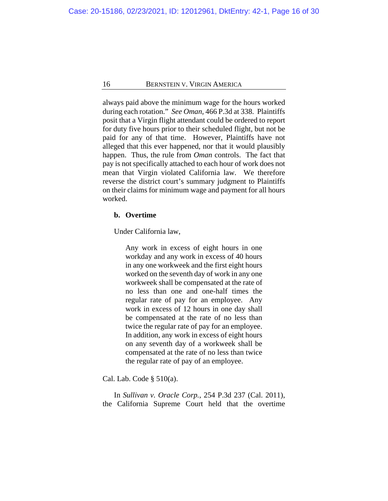always paid above the minimum wage for the hours worked during each rotation." *See Oman*, 466 P.3d at 338. Plaintiffs posit that a Virgin flight attendant could be ordered to report for duty five hours prior to their scheduled flight, but not be paid for any of that time. However, Plaintiffs have not alleged that this ever happened, nor that it would plausibly happen. Thus, the rule from *Oman* controls. The fact that pay is not specifically attached to each hour of work does not mean that Virgin violated California law. We therefore reverse the district court's summary judgment to Plaintiffs on their claims for minimum wage and payment for all hours worked.

## **b. Overtime**

Under California law,

Any work in excess of eight hours in one workday and any work in excess of 40 hours in any one workweek and the first eight hours worked on the seventh day of work in any one workweek shall be compensated at the rate of no less than one and one-half times the regular rate of pay for an employee. Any work in excess of 12 hours in one day shall be compensated at the rate of no less than twice the regular rate of pay for an employee. In addition, any work in excess of eight hours on any seventh day of a workweek shall be compensated at the rate of no less than twice the regular rate of pay of an employee.

Cal. Lab. Code § 510(a).

In *Sullivan v. Oracle Corp.*, 254 P.3d 237 (Cal. 2011), the California Supreme Court held that the overtime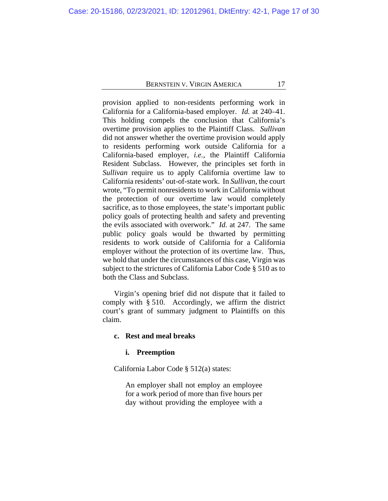provision applied to non-residents performing work in California for a California-based employer. *Id.* at 240–41. This holding compels the conclusion that California's overtime provision applies to the Plaintiff Class. *Sullivan* did not answer whether the overtime provision would apply to residents performing work outside California for a California-based employer, *i.e.*, the Plaintiff California Resident Subclass. However, the principles set forth in *Sullivan* require us to apply California overtime law to California residents' out-of-state work. In *Sullivan*, the court wrote, "To permit nonresidents to work in California without the protection of our overtime law would completely sacrifice, as to those employees, the state's important public policy goals of protecting health and safety and preventing the evils associated with overwork." *Id.* at 247. The same public policy goals would be thwarted by permitting residents to work outside of California for a California employer without the protection of its overtime law. Thus, we hold that under the circumstances of this case, Virgin was subject to the strictures of California Labor Code § 510 as to both the Class and Subclass.

Virgin's opening brief did not dispute that it failed to comply with § 510. Accordingly, we affirm the district court's grant of summary judgment to Plaintiffs on this claim.

## **c. Rest and meal breaks**

#### **i. Preemption**

California Labor Code § 512(a) states:

An employer shall not employ an employee for a work period of more than five hours per day without providing the employee with a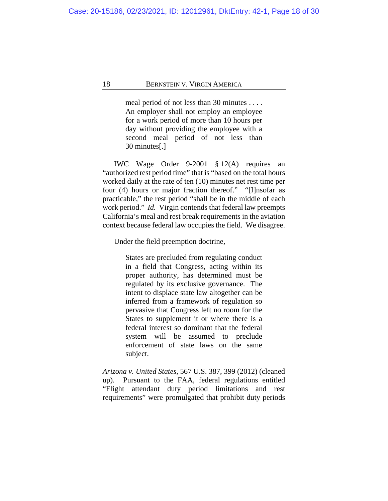meal period of not less than 30 minutes . . . . An employer shall not employ an employee for a work period of more than 10 hours per day without providing the employee with a second meal period of not less than 30 minutes[.]

IWC Wage Order 9-2001 § 12(A) requires an "authorized rest period time" that is "based on the total hours worked daily at the rate of ten (10) minutes net rest time per four (4) hours or major fraction thereof." "[I]nsofar as practicable," the rest period "shall be in the middle of each work period." *Id.* Virgin contends that federal law preempts California's meal and rest break requirements in the aviation context because federal law occupies the field. We disagree.

Under the field preemption doctrine,

States are precluded from regulating conduct in a field that Congress, acting within its proper authority, has determined must be regulated by its exclusive governance. The intent to displace state law altogether can be inferred from a framework of regulation so pervasive that Congress left no room for the States to supplement it or where there is a federal interest so dominant that the federal system will be assumed to preclude enforcement of state laws on the same subject.

*Arizona v. United States*, 567 U.S. 387, 399 (2012) (cleaned up). Pursuant to the FAA, federal regulations entitled "Flight attendant duty period limitations and rest requirements" were promulgated that prohibit duty periods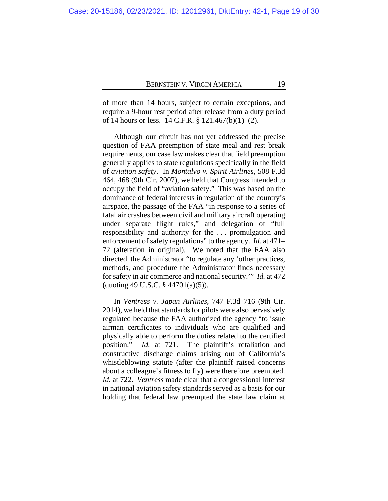of more than 14 hours, subject to certain exceptions, and require a 9-hour rest period after release from a duty period of 14 hours or less. 14 C.F.R. § 121.467(b)(1)–(2).

Although our circuit has not yet addressed the precise question of FAA preemption of state meal and rest break requirements, our case law makes clear that field preemption generally applies to state regulations specifically in the field of *aviation safety*. In *Montalvo v. Spirit Airlines*, 508 F.3d 464, 468 (9th Cir. 2007), we held that Congress intended to occupy the field of "aviation safety." This was based on the dominance of federal interests in regulation of the country's airspace, the passage of the FAA "in response to a series of fatal air crashes between civil and military aircraft operating under separate flight rules," and delegation of "full responsibility and authority for the . . . promulgation and enforcement of safety regulations" to the agency. *Id.* at 471– 72 (alteration in original). We noted that the FAA also directed the Administrator "to regulate any 'other practices, methods, and procedure the Administrator finds necessary for safety in air commerce and national security.'" *Id.* at 472 (quoting 49 U.S.C. § 44701(a)(5)).

In *Ventress v. Japan Airlines*, 747 F.3d 716 (9th Cir. 2014), we held that standards for pilots were also pervasively regulated because the FAA authorized the agency "to issue airman certificates to individuals who are qualified and physically able to perform the duties related to the certified position." *Id.* at 721. The plaintiff's retaliation and constructive discharge claims arising out of California's whistleblowing statute (after the plaintiff raised concerns about a colleague's fitness to fly) were therefore preempted. *Id.* at 722. *Ventress* made clear that a congressional interest in national aviation safety standards served as a basis for our holding that federal law preempted the state law claim at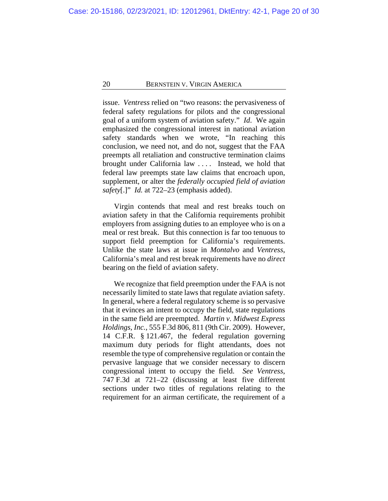issue. *Ventress* relied on "two reasons: the pervasiveness of federal safety regulations for pilots and the congressional goal of a uniform system of aviation safety." *Id*. We again emphasized the congressional interest in national aviation safety standards when we wrote, "In reaching this conclusion, we need not, and do not, suggest that the FAA preempts all retaliation and constructive termination claims brought under California law *. . . .* Instead, we hold that federal law preempts state law claims that encroach upon, supplement, or alter the *federally occupied field of aviation safety*[.]" *Id.* at 722–23 (emphasis added).

Virgin contends that meal and rest breaks touch on aviation safety in that the California requirements prohibit employers from assigning duties to an employee who is on a meal or rest break. But this connection is far too tenuous to support field preemption for California's requirements. Unlike the state laws at issue in *Montalvo* and *Ventress*, California's meal and rest break requirements have no *direct* bearing on the field of aviation safety.

We recognize that field preemption under the FAA is not necessarily limited to state laws that regulate aviation safety. In general, where a federal regulatory scheme is so pervasive that it evinces an intent to occupy the field, state regulations in the same field are preempted. *Martin v. Midwest Express Holdings, Inc.*, 555 F.3d 806, 811 (9th Cir. 2009). However, 14 C.F.R. § 121.467, the federal regulation governing maximum duty periods for flight attendants, does not resemble the type of comprehensive regulation or contain the pervasive language that we consider necessary to discern congressional intent to occupy the field. *See Ventress*, 747 F.3d at 721–22 (discussing at least five different sections under two titles of regulations relating to the requirement for an airman certificate, the requirement of a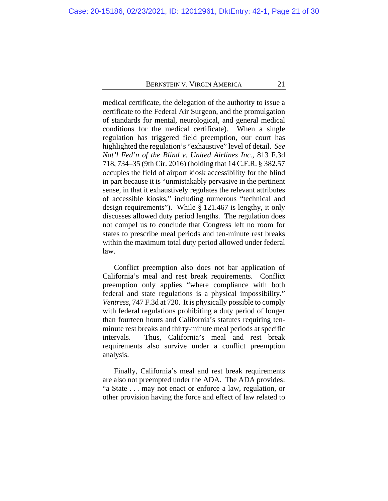medical certificate, the delegation of the authority to issue a certificate to the Federal Air Surgeon, and the promulgation of standards for mental, neurological, and general medical conditions for the medical certificate). When a single regulation has triggered field preemption, our court has highlighted the regulation's "exhaustive" level of detail. *See Nat'l Fed'n of the Blind v. United Airlines Inc.*, 813 F.3d 718, 734–35 (9th Cir. 2016) (holding that 14 C.F.R. § 382.57 occupies the field of airport kiosk accessibility for the blind in part because it is "unmistakably pervasive in the pertinent sense, in that it exhaustively regulates the relevant attributes of accessible kiosks," including numerous "technical and design requirements"). While § 121.467 is lengthy, it only discusses allowed duty period lengths. The regulation does not compel us to conclude that Congress left no room for states to prescribe meal periods and ten-minute rest breaks within the maximum total duty period allowed under federal law.

Conflict preemption also does not bar application of California's meal and rest break requirements. Conflict preemption only applies "where compliance with both federal and state regulations is a physical impossibility." *Ventress*, 747 F.3d at 720. It is physically possible to comply with federal regulations prohibiting a duty period of longer than fourteen hours and California's statutes requiring tenminute rest breaks and thirty-minute meal periods at specific intervals. Thus, California's meal and rest break requirements also survive under a conflict preemption analysis.

Finally, California's meal and rest break requirements are also not preempted under the ADA. The ADA provides: "a State . . . may not enact or enforce a law, regulation, or other provision having the force and effect of law related to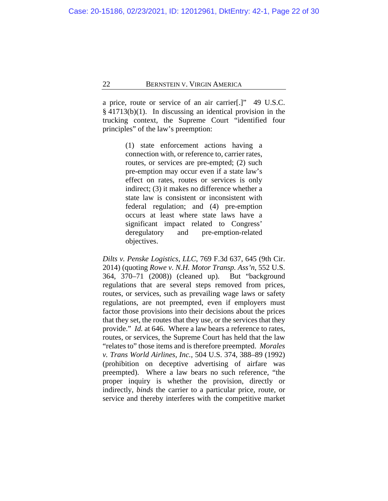a price, route or service of an air carrier[.]" 49 U.S.C. § 41713(b)(1). In discussing an identical provision in the trucking context, the Supreme Court "identified four principles" of the law's preemption:

> (1) state enforcement actions having a connection with, or reference to, carrier rates, routes, or services are pre-empted; (2) such pre-emption may occur even if a state law's effect on rates, routes or services is only indirect; (3) it makes no difference whether a state law is consistent or inconsistent with federal regulation; and (4) pre-emption occurs at least where state laws have a significant impact related to Congress' deregulatory and pre-emption-related objectives.

*Dilts v. Penske Logistics, LLC*, 769 F.3d 637, 645 (9th Cir. 2014) (quoting *Rowe v. N.H. Motor Transp. Ass'n*, 552 U.S. 364, 370–71 (2008)) (cleaned up). But "background regulations that are several steps removed from prices, routes, or services, such as prevailing wage laws or safety regulations, are not preempted, even if employers must factor those provisions into their decisions about the prices that they set, the routes that they use, or the services that they provide." *Id.* at 646. Where a law bears a reference to rates, routes, or services, the Supreme Court has held that the law "relates to" those items and is therefore preempted. *Morales v. Trans World Airlines, Inc.*, 504 U.S. 374, 388–89 (1992) (prohibition on deceptive advertising of airfare was preempted). Where a law bears no such reference, "the proper inquiry is whether the provision, directly or indirectly, *binds* the carrier to a particular price, route, or service and thereby interferes with the competitive market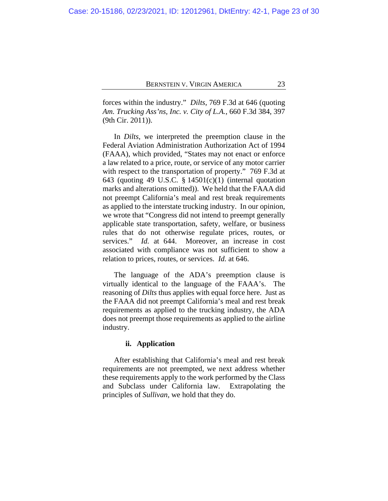forces within the industry." *Dilts*, 769 F.3d at 646 (quoting *Am. Trucking Ass'ns, Inc. v. City of L.A.*, 660 F.3d 384, 397 (9th Cir. 2011)).

In *Dilts*, we interpreted the preemption clause in the Federal Aviation Administration Authorization Act of 1994 (FAAA), which provided, "States may not enact or enforce a law related to a price, route, or service of any motor carrier with respect to the transportation of property." 769 F.3d at 643 (quoting 49 U.S.C. § 14501(c)(1) (internal quotation marks and alterations omitted)). We held that the FAAA did not preempt California's meal and rest break requirements as applied to the interstate trucking industry. In our opinion, we wrote that "Congress did not intend to preempt generally applicable state transportation, safety, welfare, or business rules that do not otherwise regulate prices, routes, or services." *Id.* at 644. Moreover, an increase in cost associated with compliance was not sufficient to show a relation to prices, routes, or services. *Id.* at 646.

The language of the ADA's preemption clause is virtually identical to the language of the FAAA's. The reasoning of *Dilts* thus applies with equal force here. Just as the FAAA did not preempt California's meal and rest break requirements as applied to the trucking industry, the ADA does not preempt those requirements as applied to the airline industry.

## **ii. Application**

After establishing that California's meal and rest break requirements are not preempted, we next address whether these requirements apply to the work performed by the Class and Subclass under California law. Extrapolating the principles of *Sullivan*, we hold that they do.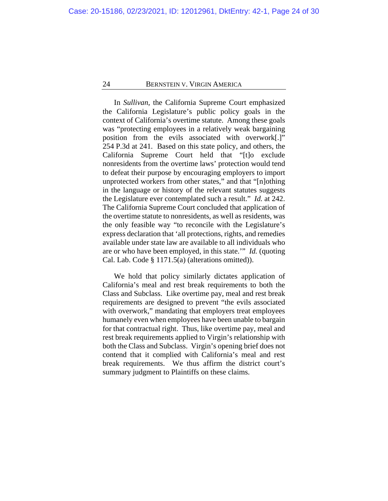In *Sullivan*, the California Supreme Court emphasized the California Legislature's public policy goals in the context of California's overtime statute. Among these goals was "protecting employees in a relatively weak bargaining position from the evils associated with overwork[.]" 254 P.3d at 241. Based on this state policy, and others, the California Supreme Court held that "[t]o exclude nonresidents from the overtime laws' protection would tend to defeat their purpose by encouraging employers to import unprotected workers from other states," and that "[n]othing in the language or history of the relevant statutes suggests the Legislature ever contemplated such a result." *Id.* at 242. The California Supreme Court concluded that application of the overtime statute to nonresidents, as well as residents, was the only feasible way "to reconcile with the Legislature's express declaration that 'all protections, rights, and remedies available under state law are available to all individuals who are or who have been employed, in this state.'" *Id.* (quoting Cal. Lab. Code § 1171.5(a) (alterations omitted)).

We hold that policy similarly dictates application of California's meal and rest break requirements to both the Class and Subclass. Like overtime pay, meal and rest break requirements are designed to prevent "the evils associated with overwork," mandating that employers treat employees humanely even when employees have been unable to bargain for that contractual right. Thus, like overtime pay, meal and rest break requirements applied to Virgin's relationship with both the Class and Subclass. Virgin's opening brief does not contend that it complied with California's meal and rest break requirements. We thus affirm the district court's summary judgment to Plaintiffs on these claims.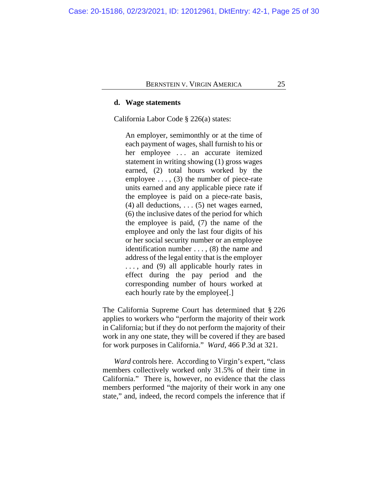#### **d. Wage statements**

California Labor Code § 226(a) states:

An employer, semimonthly or at the time of each payment of wages, shall furnish to his or her employee ... an accurate itemized statement in writing showing (1) gross wages earned, (2) total hours worked by the employee  $\dots$ , (3) the number of piece-rate units earned and any applicable piece rate if the employee is paid on a piece-rate basis,  $(4)$  all deductions, ...  $(5)$  net wages earned, (6) the inclusive dates of the period for which the employee is paid, (7) the name of the employee and only the last four digits of his or her social security number or an employee identification number . . . , (8) the name and address of the legal entity that is the employer . . . , and (9) all applicable hourly rates in effect during the pay period and the corresponding number of hours worked at each hourly rate by the employee[.]

The California Supreme Court has determined that § 226 applies to workers who "perform the majority of their work in California; but if they do not perform the majority of their work in any one state, they will be covered if they are based for work purposes in California." *Ward*, 466 P.3d at 321.

*Ward* controls here. According to Virgin's expert, "class members collectively worked only 31.5% of their time in California." There is, however, no evidence that the class members performed "the majority of their work in any one state," and, indeed, the record compels the inference that if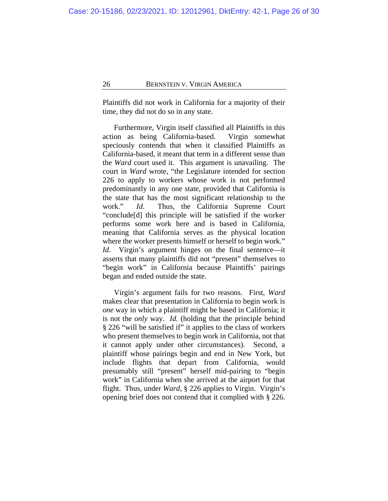Plaintiffs did not work in California for a majority of their time, they did not do so in any state.

Furthermore, Virgin itself classified all Plaintiffs in this action as being California-based. Virgin somewhat speciously contends that when it classified Plaintiffs as California-based, it meant that term in a different sense than the *Ward* court used it.This argument is unavailing. The court in *Ward* wrote, "the Legislature intended for section 226 to apply to workers whose work is not performed predominantly in any one state, provided that California is the state that has the most significant relationship to the work." *Id*. Thus, the California Supreme Court "conclude[d] this principle will be satisfied if the worker performs some work here and is based in California, meaning that California serves as the physical location where the worker presents himself or herself to begin work." *Id*. Virgin's argument hinges on the final sentence—it asserts that many plaintiffs did not "present" themselves to "begin work" in California because Plaintiffs' pairings began and ended outside the state.

Virgin's argument fails for two reasons. First, *Ward* makes clear that presentation in California to begin work is *one* way in which a plaintiff might be based in California; it is not the *only* way. *Id.* (holding that the principle behind § 226 "will be satisfied if" it applies to the class of workers who present themselves to begin work in California, not that it cannot apply under other circumstances). Second, a plaintiff whose pairings begin and end in New York, but include flights that depart from California, would presumably still "present" herself mid-pairing to "begin work" in California when she arrived at the airport for that flight. Thus, under *Ward*, § 226 applies to Virgin. Virgin's opening brief does not contend that it complied with § 226.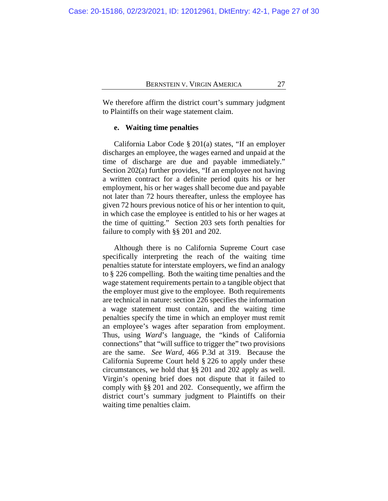We therefore affirm the district court's summary judgment to Plaintiffs on their wage statement claim.

## **e. Waiting time penalties**

California Labor Code § 201(a) states, "If an employer discharges an employee, the wages earned and unpaid at the time of discharge are due and payable immediately." Section 202(a) further provides, "If an employee not having a written contract for a definite period quits his or her employment, his or her wages shall become due and payable not later than 72 hours thereafter, unless the employee has given 72 hours previous notice of his or her intention to quit, in which case the employee is entitled to his or her wages at the time of quitting." Section 203 sets forth penalties for failure to comply with §§ 201 and 202.

Although there is no California Supreme Court case specifically interpreting the reach of the waiting time penalties statute for interstate employers, we find an analogy to § 226 compelling. Both the waiting time penalties and the wage statement requirements pertain to a tangible object that the employer must give to the employee. Both requirements are technical in nature: section 226 specifies the information a wage statement must contain, and the waiting time penalties specify the time in which an employer must remit an employee's wages after separation from employment. Thus, using *Ward*'s language, the "kinds of California connections" that "will suffice to trigger the" two provisions are the same. *See Ward*, 466 P.3d at 319. Because the California Supreme Court held § 226 to apply under these circumstances, we hold that §§ 201 and 202 apply as well. Virgin's opening brief does not dispute that it failed to comply with §§ 201 and 202. Consequently, we affirm the district court's summary judgment to Plaintiffs on their waiting time penalties claim.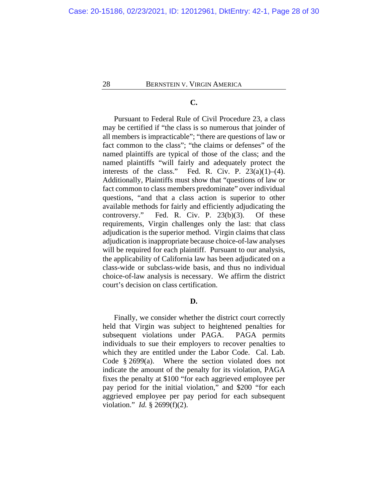# **C.**

Pursuant to Federal Rule of Civil Procedure 23, a class may be certified if "the class is so numerous that joinder of all members is impracticable"; "there are questions of law or fact common to the class"; "the claims or defenses" of the named plaintiffs are typical of those of the class; and the named plaintiffs "will fairly and adequately protect the interests of the class." Fed. R. Civ. P.  $23(a)(1)–(4)$ . Additionally, Plaintiffs must show that "questions of law or fact common to class members predominate" over individual questions, "and that a class action is superior to other available methods for fairly and efficiently adjudicating the controversy." Fed. R. Civ. P. 23(b)(3). Of these requirements, Virgin challenges only the last: that class adjudication is the superior method. Virgin claims that class adjudication is inappropriate because choice-of-law analyses will be required for each plaintiff. Pursuant to our analysis, the applicability of California law has been adjudicated on a class-wide or subclass-wide basis, and thus no individual choice-of-law analysis is necessary. We affirm the district court's decision on class certification.

#### **D.**

Finally, we consider whether the district court correctly held that Virgin was subject to heightened penalties for subsequent violations under PAGA. PAGA permits individuals to sue their employers to recover penalties to which they are entitled under the Labor Code. Cal. Lab. Code § 2699(a). Where the section violated does not indicate the amount of the penalty for its violation, PAGA fixes the penalty at \$100 "for each aggrieved employee per pay period for the initial violation," and \$200 "for each aggrieved employee per pay period for each subsequent violation." *Id.* § 2699(f)(2).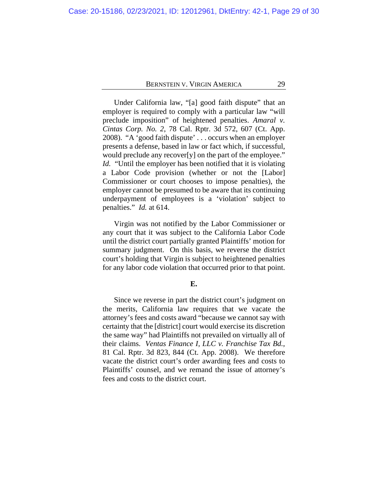Under California law, "[a] good faith dispute" that an employer is required to comply with a particular law "will preclude imposition" of heightened penalties. *Amaral v. Cintas Corp. No. 2*, 78 Cal. Rptr. 3d 572, 607 (Ct. App. 2008). "A 'good faith dispute' . . . occurs when an employer presents a defense, based in law or fact which, if successful, would preclude any recover[y] on the part of the employee." *Id.* "Until the employer has been notified that it is violating a Labor Code provision (whether or not the [Labor] Commissioner or court chooses to impose penalties), the employer cannot be presumed to be aware that its continuing underpayment of employees is a 'violation' subject to penalties." *Id.* at 614.

Virgin was not notified by the Labor Commissioner or any court that it was subject to the California Labor Code until the district court partially granted Plaintiffs' motion for summary judgment. On this basis, we reverse the district court's holding that Virgin is subject to heightened penalties for any labor code violation that occurred prior to that point.

#### **E.**

Since we reverse in part the district court's judgment on the merits, California law requires that we vacate the attorney's fees and costs award "because we cannot say with certainty that the [district] court would exercise its discretion the same way" had Plaintiffs not prevailed on virtually all of their claims. *Ventas Finance I, LLC v. Franchise Tax Bd.*, 81 Cal. Rptr. 3d 823, 844 (Ct. App. 2008). We therefore vacate the district court's order awarding fees and costs to Plaintiffs' counsel, and we remand the issue of attorney's fees and costs to the district court.